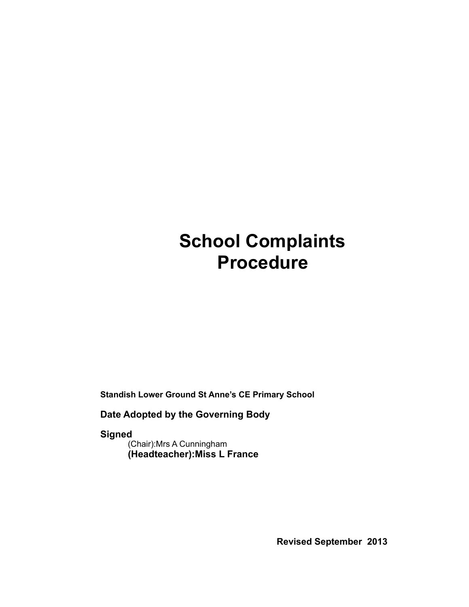# **School Complaints Procedure**

**Standish Lower Ground St Anne's CE Primary School** 

**Date Adopted by the Governing Body** 

**Signed**  (Chair):Mrs A Cunningham

**(Headteacher):Miss L France** 

**Revised September 2013**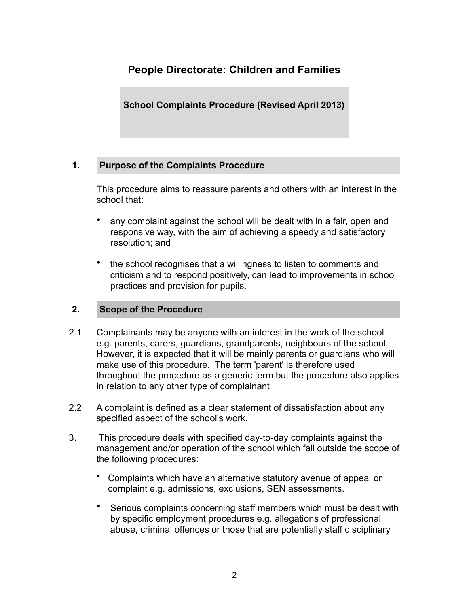## **People Directorate: Children and Families**

**School Complaints Procedure (Revised April 2013)** 

## **1. Purpose of the Complaints Procedure**

This procedure aims to reassure parents and others with an interest in the school that:

- any complaint against the school will be dealt with in a fair, open and responsive way, with the aim of achieving a speedy and satisfactory resolution; and
- the school recognises that a willingness to listen to comments and criticism and to respond positively, can lead to improvements in school practices and provision for pupils.

## **2. Scope of the Procedure**

- 2.1 Complainants may be anyone with an interest in the work of the school e.g. parents, carers, guardians, grandparents, neighbours of the school. However, it is expected that it will be mainly parents or guardians who will make use of this procedure. The term 'parent' is therefore used throughout the procedure as a generic term but the procedure also applies in relation to any other type of complainant
- 2.2 A complaint is defined as a clear statement of dissatisfaction about any specified aspect of the school's work.
- 3. This procedure deals with specified day-to-day complaints against the management and/or operation of the school which fall outside the scope of the following procedures:
	- Complaints which have an alternative statutory avenue of appeal or complaint e.g. admissions, exclusions, SEN assessments.
	- Serious complaints concerning staff members which must be dealt with by specific employment procedures e.g. allegations of professional abuse, criminal offences or those that are potentially staff disciplinary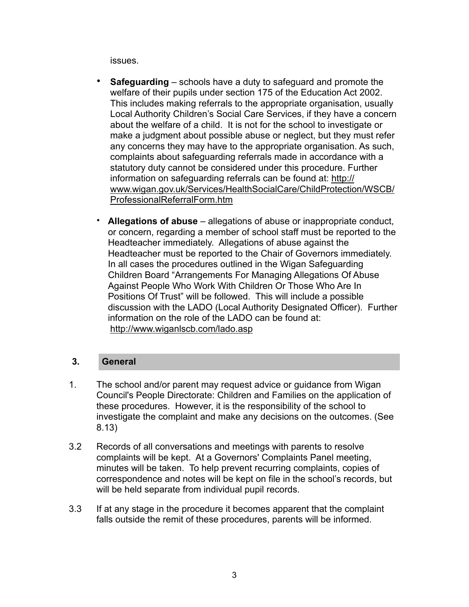issues.

- **Safeguarding**  schools have a duty to safeguard and promote the welfare of their pupils under section 175 of the Education Act 2002. This includes making referrals to the appropriate organisation, usually Local Authority Children's Social Care Services, if they have a concern about the welfare of a child. It is not for the school to investigate or make a judgment about possible abuse or neglect, but they must refer any concerns they may have to the appropriate organisation. As such, complaints about safeguarding referrals made in accordance with a statutory duty cannot be considered under this procedure. Further information on safeguarding referrals can be found at: [http://](http://www.wigan.gov.uk/Services/HealthSocialCare/ChildProtection/WSCB/ProfessionalReferralForm.htm) [www.wigan.gov.uk/Services/HealthSocialCare/ChildProtection/WSCB/](http://www.wigan.gov.uk/Services/HealthSocialCare/ChildProtection/WSCB/ProfessionalReferralForm.htm) [ProfessionalReferralForm.htm](http://www.wigan.gov.uk/Services/HealthSocialCare/ChildProtection/WSCB/ProfessionalReferralForm.htm)
- **Allegations of abuse**  allegations of abuse or inappropriate conduct, or concern, regarding a member of school staff must be reported to the Headteacher immediately. Allegations of abuse against the Headteacher must be reported to the Chair of Governors immediately. In all cases the procedures outlined in the Wigan Safeguarding Children Board "Arrangements For Managing Allegations Of Abuse Against People Who Work With Children Or Those Who Are In Positions Of Trust" will be followed. This will include a possible discussion with the LADO (Local Authority Designated Officer). Further information on the role of the LADO can be found at: <http://www.wiganlscb.com/lado.asp>

## **3. General**

- 1. The school and/or parent may request advice or guidance from Wigan Council's People Directorate: Children and Families on the application of these procedures. However, it is the responsibility of the school to investigate the complaint and make any decisions on the outcomes. (See 8.13)
- 3.2 Records of all conversations and meetings with parents to resolve complaints will be kept. At a Governors' Complaints Panel meeting, minutes will be taken. To help prevent recurring complaints, copies of correspondence and notes will be kept on file in the school's records, but will be held separate from individual pupil records.
- 3.3 If at any stage in the procedure it becomes apparent that the complaint falls outside the remit of these procedures, parents will be informed.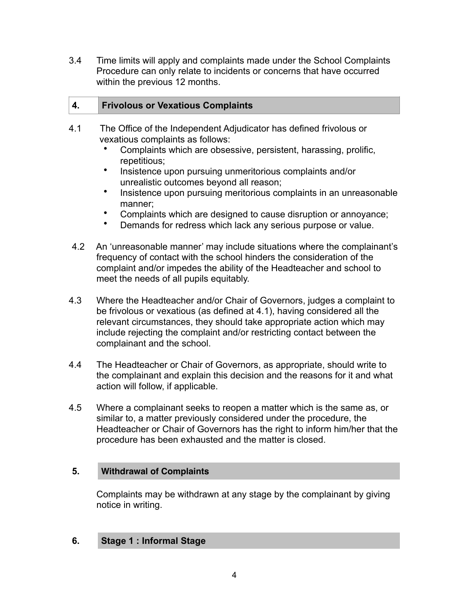3.4 Time limits will apply and complaints made under the School Complaints Procedure can only relate to incidents or concerns that have occurred within the previous 12 months.

## **4. Frivolous or Vexatious Complaints**

- 4.1 The Office of the Independent Adjudicator has defined frivolous or vexatious complaints as follows:
	- Complaints which are obsessive, persistent, harassing, prolific, repetitious;
	- Insistence upon pursuing unmeritorious complaints and/or unrealistic outcomes beyond all reason;
	- Insistence upon pursuing meritorious complaints in an unreasonable manner;
	- Complaints which are designed to cause disruption or annoyance;
	- Demands for redress which lack any serious purpose or value.
- 4.2 An 'unreasonable manner' may include situations where the complainant's frequency of contact with the school hinders the consideration of the complaint and/or impedes the ability of the Headteacher and school to meet the needs of all pupils equitably.
- 4.3 Where the Headteacher and/or Chair of Governors, judges a complaint to be frivolous or vexatious (as defined at 4.1), having considered all the relevant circumstances, they should take appropriate action which may include rejecting the complaint and/or restricting contact between the complainant and the school.
- 4.4 The Headteacher or Chair of Governors, as appropriate, should write to the complainant and explain this decision and the reasons for it and what action will follow, if applicable.
- 4.5 Where a complainant seeks to reopen a matter which is the same as, or similar to, a matter previously considered under the procedure, the Headteacher or Chair of Governors has the right to inform him/her that the procedure has been exhausted and the matter is closed.

## **5. Withdrawal of Complaints**

Complaints may be withdrawn at any stage by the complainant by giving notice in writing.

## **6. Stage 1 : Informal Stage**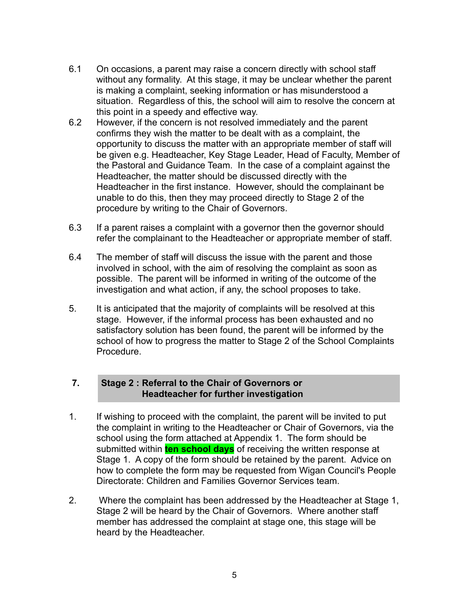- 6.1 On occasions, a parent may raise a concern directly with school staff without any formality. At this stage, it may be unclear whether the parent is making a complaint, seeking information or has misunderstood a situation. Regardless of this, the school will aim to resolve the concern at this point in a speedy and effective way.
- 6.2 However, if the concern is not resolved immediately and the parent confirms they wish the matter to be dealt with as a complaint, the opportunity to discuss the matter with an appropriate member of staff will be given e.g. Headteacher, Key Stage Leader, Head of Faculty, Member of the Pastoral and Guidance Team. In the case of a complaint against the Headteacher, the matter should be discussed directly with the Headteacher in the first instance. However, should the complainant be unable to do this, then they may proceed directly to Stage 2 of the procedure by writing to the Chair of Governors.
- 6.3 If a parent raises a complaint with a governor then the governor should refer the complainant to the Headteacher or appropriate member of staff.
- 6.4 The member of staff will discuss the issue with the parent and those involved in school, with the aim of resolving the complaint as soon as possible. The parent will be informed in writing of the outcome of the investigation and what action, if any, the school proposes to take.
- 5. It is anticipated that the majority of complaints will be resolved at this stage. However, if the informal process has been exhausted and no satisfactory solution has been found, the parent will be informed by the school of how to progress the matter to Stage 2 of the School Complaints **Procedure**

## **7. Stage 2 : Referral to the Chair of Governors or Headteacher for further investigation**

- 1. If wishing to proceed with the complaint, the parent will be invited to put the complaint in writing to the Headteacher or Chair of Governors, via the school using the form attached at Appendix 1. The form should be submitted within **ten school days** of receiving the written response at Stage 1. A copy of the form should be retained by the parent. Advice on how to complete the form may be requested from Wigan Council's People Directorate: Children and Families Governor Services team.
- 2. Where the complaint has been addressed by the Headteacher at Stage 1, Stage 2 will be heard by the Chair of Governors. Where another staff member has addressed the complaint at stage one, this stage will be heard by the Headteacher.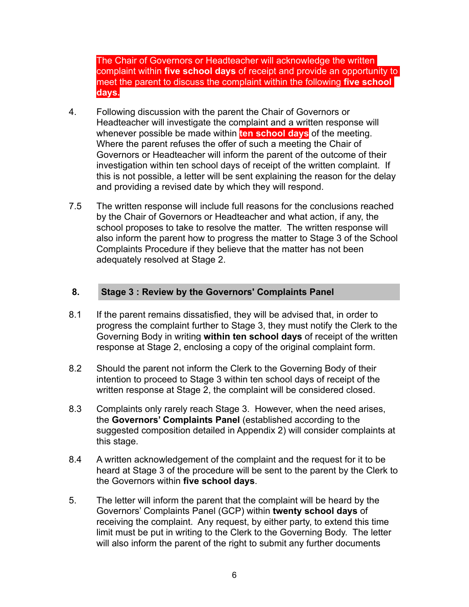The Chair of Governors or Headteacher will acknowledge the written complaint within **five school days** of receipt and provide an opportunity to meet the parent to discuss the complaint within the following **five school days.**

- 4. Following discussion with the parent the Chair of Governors or Headteacher will investigate the complaint and a written response will whenever possible be made within **ten school days** of the meeting. Where the parent refuses the offer  $\overline{of}$  such a meeting the Chair of Governors or Headteacher will inform the parent of the outcome of their investigation within ten school days of receipt of the written complaint. If this is not possible, a letter will be sent explaining the reason for the delay and providing a revised date by which they will respond.
- 7.5 The written response will include full reasons for the conclusions reached by the Chair of Governors or Headteacher and what action, if any, the school proposes to take to resolve the matter. The written response will also inform the parent how to progress the matter to Stage 3 of the School Complaints Procedure if they believe that the matter has not been adequately resolved at Stage 2.

## **8. Stage 3 : Review by the Governors' Complaints Panel**

- 8.1 If the parent remains dissatisfied, they will be advised that, in order to progress the complaint further to Stage 3, they must notify the Clerk to the Governing Body in writing **within ten school days** of receipt of the written response at Stage 2, enclosing a copy of the original complaint form.
- 8.2 Should the parent not inform the Clerk to the Governing Body of their intention to proceed to Stage 3 within ten school days of receipt of the written response at Stage 2, the complaint will be considered closed.
- 8.3 Complaints only rarely reach Stage 3. However, when the need arises, the **Governors' Complaints Panel** (established according to the suggested composition detailed in Appendix 2) will consider complaints at this stage.
- 8.4 A written acknowledgement of the complaint and the request for it to be heard at Stage 3 of the procedure will be sent to the parent by the Clerk to the Governors within **five school days**.
- 5. The letter will inform the parent that the complaint will be heard by the Governors' Complaints Panel (GCP) within **twenty school days** of receiving the complaint. Any request, by either party, to extend this time limit must be put in writing to the Clerk to the Governing Body. The letter will also inform the parent of the right to submit any further documents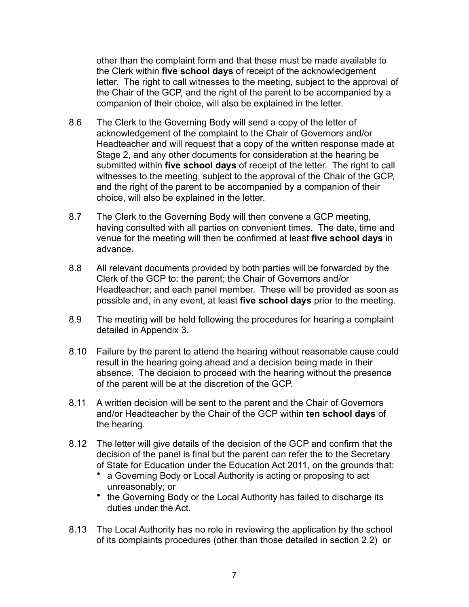other than the complaint form and that these must be made available to the Clerk within **five school days** of receipt of the acknowledgement letter. The right to call witnesses to the meeting, subject to the approval of the Chair of the GCP, and the right of the parent to be accompanied by a companion of their choice, will also be explained in the letter.

- 8.6 The Clerk to the Governing Body will send a copy of the letter of acknowledgement of the complaint to the Chair of Governors and/or Headteacher and will request that a copy of the written response made at Stage 2, and any other documents for consideration at the hearing be submitted within **five school days** of receipt of the letter. The right to call witnesses to the meeting, subject to the approval of the Chair of the GCP, and the right of the parent to be accompanied by a companion of their choice, will also be explained in the letter.
- 8.7 The Clerk to the Governing Body will then convene a GCP meeting, having consulted with all parties on convenient times. The date, time and venue for the meeting will then be confirmed at least **five school days** in advance.
- 8.8 All relevant documents provided by both parties will be forwarded by the Clerk of the GCP to: the parent; the Chair of Governors and/or Headteacher; and each panel member. These will be provided as soon as possible and, in any event, at least **five school days** prior to the meeting.
- 8.9 The meeting will be held following the procedures for hearing a complaint detailed in Appendix 3.
- 8.10 Failure by the parent to attend the hearing without reasonable cause could result in the hearing going ahead and a decision being made in their absence. The decision to proceed with the hearing without the presence of the parent will be at the discretion of the GCP.
- 8.11 A written decision will be sent to the parent and the Chair of Governors and/or Headteacher by the Chair of the GCP within **ten school days** of the hearing.
- 8.12 The letter will give details of the decision of the GCP and confirm that the decision of the panel is final but the parent can refer the to the Secretary of State for Education under the Education Act 2011, on the grounds that:
	- a Governing Body or Local Authority is acting or proposing to act unreasonably; or
	- the Governing Body or the Local Authority has failed to discharge its duties under the Act.
- 8.13 The Local Authority has no role in reviewing the application by the school of its complaints procedures (other than those detailed in section 2.2) or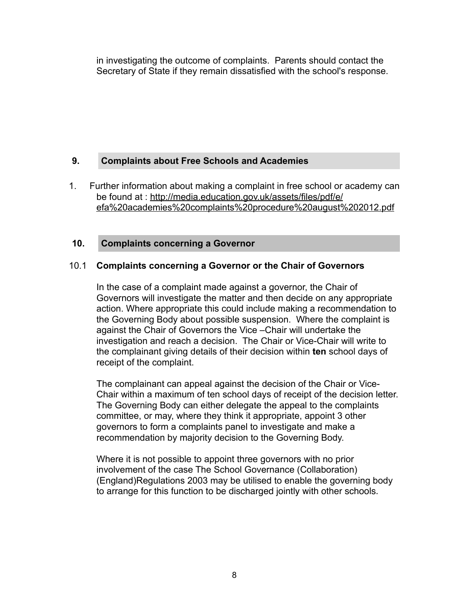in investigating the outcome of complaints. Parents should contact the Secretary of State if they remain dissatisfied with the school's response.

## **9. Complaints about Free Schools and Academies**

1. Further information about making a complaint in free school or academy can be found at : [http://media.education.gov.uk/assets/files/pdf/e/](http://media.education.gov.uk/assets/files/pdf/e/efa%2520academies%2520complaints%2520procedure%2520august%25202012.pdf) [efa%20academies%20complaints%20procedure%20august%202012.pdf](http://media.education.gov.uk/assets/files/pdf/e/efa%2520academies%2520complaints%2520procedure%2520august%25202012.pdf)

## **10. Complaints concerning a Governor**

## 10.1 **Complaints concerning a Governor or the Chair of Governors**

In the case of a complaint made against a governor, the Chair of Governors will investigate the matter and then decide on any appropriate action. Where appropriate this could include making a recommendation to the Governing Body about possible suspension. Where the complaint is against the Chair of Governors the Vice –Chair will undertake the investigation and reach a decision. The Chair or Vice-Chair will write to the complainant giving details of their decision within **ten** school days of receipt of the complaint.

The complainant can appeal against the decision of the Chair or Vice-Chair within a maximum of ten school days of receipt of the decision letter. The Governing Body can either delegate the appeal to the complaints committee, or may, where they think it appropriate, appoint 3 other governors to form a complaints panel to investigate and make a recommendation by majority decision to the Governing Body.

Where it is not possible to appoint three governors with no prior involvement of the case The School Governance (Collaboration) (England)Regulations 2003 may be utilised to enable the governing body to arrange for this function to be discharged jointly with other schools.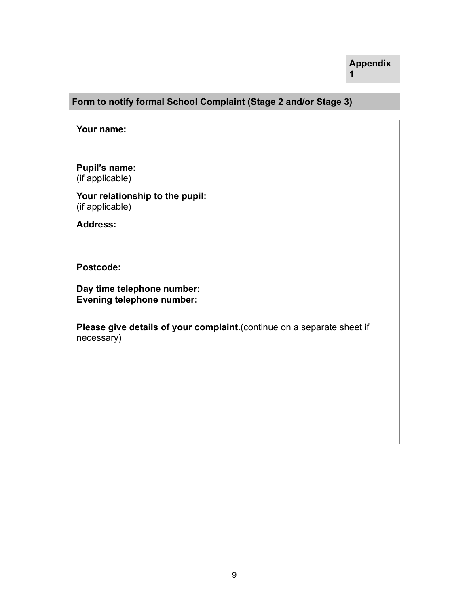## **Form to notify formal School Complaint (Stage 2 and/or Stage 3)**

**Your name:** 

**Pupil's name:**  (if applicable)

**Your relationship to the pupil:**  (if applicable)

**Address:** 

**Postcode:** 

**Day time telephone number: Evening telephone number:** 

**Please give details of your complaint.**(continue on a separate sheet if necessary)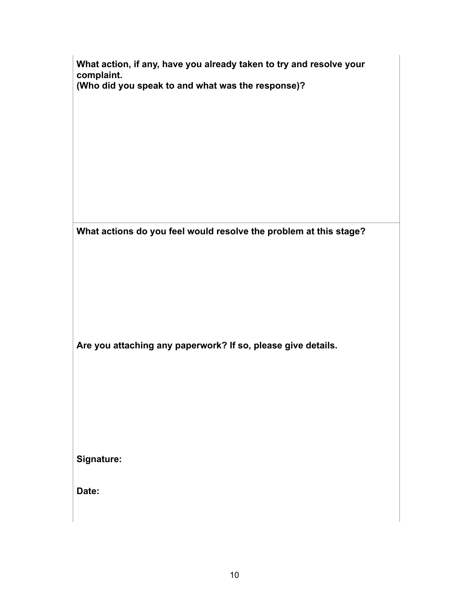| What action, if any, have you already taken to try and resolve your<br>complaint.<br>(Who did you speak to and what was the response)? |  |
|----------------------------------------------------------------------------------------------------------------------------------------|--|
|                                                                                                                                        |  |
| What actions do you feel would resolve the problem at this stage?                                                                      |  |
| Are you attaching any paperwork? If so, please give details.                                                                           |  |
| Signature:                                                                                                                             |  |
| Date:                                                                                                                                  |  |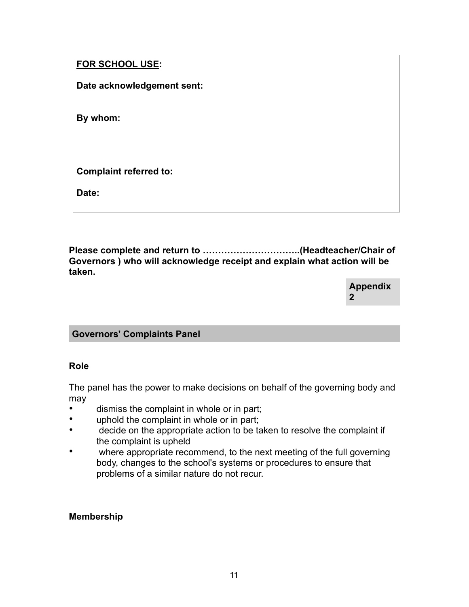## **FOR SCHOOL USE:**

**Date acknowledgement sent:** 

**By whom:** 

**Complaint referred to:** 

**Date:** 

**Please complete and return to …………………………..(Headteacher/Chair of Governors ) who will acknowledge receipt and explain what action will be taken.**

> **Appendix 2**

## **Governors' Complaints Panel**

## **Role**

The panel has the power to make decisions on behalf of the governing body and may

- dismiss the complaint in whole or in part;
- uphold the complaint in whole or in part;
- decide on the appropriate action to be taken to resolve the complaint if the complaint is upheld
- where appropriate recommend, to the next meeting of the full governing body, changes to the school's systems or procedures to ensure that problems of a similar nature do not recur.

## **Membership**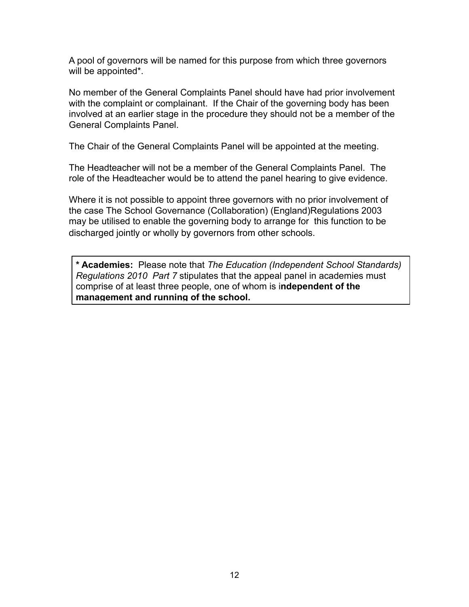A pool of governors will be named for this purpose from which three governors will be appointed\*.

No member of the General Complaints Panel should have had prior involvement with the complaint or complainant. If the Chair of the governing body has been involved at an earlier stage in the procedure they should not be a member of the General Complaints Panel.

The Chair of the General Complaints Panel will be appointed at the meeting.

The Headteacher will not be a member of the General Complaints Panel. The role of the Headteacher would be to attend the panel hearing to give evidence.

Where it is not possible to appoint three governors with no prior involvement of the case The School Governance (Collaboration) (England)Regulations 2003 may be utilised to enable the governing body to arrange for this function to be discharged jointly or wholly by governors from other schools.

**\* Academies:** Please note that *The Education (Independent School Standards) Regulations 2010 Part 7* stipulates that the appeal panel in academies must comprise of at least three people, one of whom is i**ndependent of the management and running of the school.**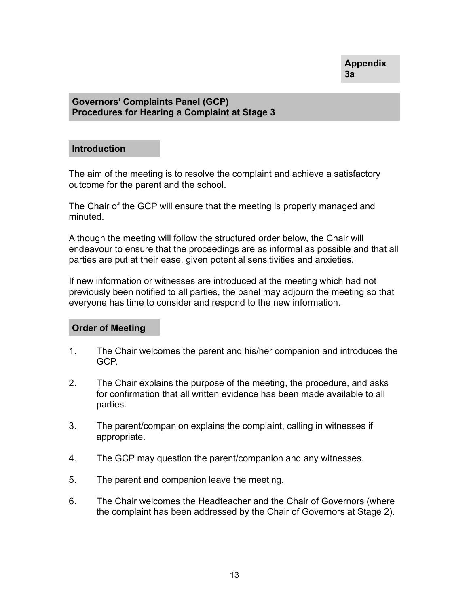## **Governors' Complaints Panel (GCP) Procedures for Hearing a Complaint at Stage 3**

#### **Introduction**

The aim of the meeting is to resolve the complaint and achieve a satisfactory outcome for the parent and the school.

The Chair of the GCP will ensure that the meeting is properly managed and minuted.

Although the meeting will follow the structured order below, the Chair will endeavour to ensure that the proceedings are as informal as possible and that all parties are put at their ease, given potential sensitivities and anxieties.

If new information or witnesses are introduced at the meeting which had not previously been notified to all parties, the panel may adjourn the meeting so that everyone has time to consider and respond to the new information.

## **Order of Meeting**

- 1. The Chair welcomes the parent and his/her companion and introduces the GCP.
- 2. The Chair explains the purpose of the meeting, the procedure, and asks for confirmation that all written evidence has been made available to all parties.
- 3. The parent/companion explains the complaint, calling in witnesses if appropriate.
- 4. The GCP may question the parent/companion and any witnesses.
- 5. The parent and companion leave the meeting.
- 6. The Chair welcomes the Headteacher and the Chair of Governors (where the complaint has been addressed by the Chair of Governors at Stage 2).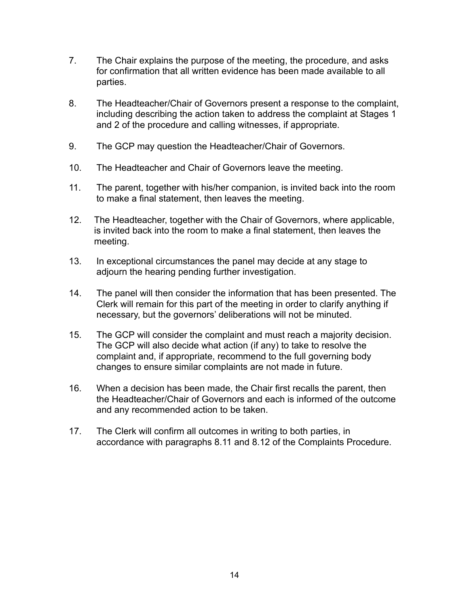- 7. The Chair explains the purpose of the meeting, the procedure, and asks for confirmation that all written evidence has been made available to all parties.
- 8. The Headteacher/Chair of Governors present a response to the complaint, including describing the action taken to address the complaint at Stages 1 and 2 of the procedure and calling witnesses, if appropriate.
- 9. The GCP may question the Headteacher/Chair of Governors.
- 10. The Headteacher and Chair of Governors leave the meeting.
- 11. The parent, together with his/her companion, is invited back into the room to make a final statement, then leaves the meeting.
- 12. The Headteacher, together with the Chair of Governors, where applicable, is invited back into the room to make a final statement, then leaves the meeting.
- 13. In exceptional circumstances the panel may decide at any stage to adjourn the hearing pending further investigation.
- 14. The panel will then consider the information that has been presented. The Clerk will remain for this part of the meeting in order to clarify anything if necessary, but the governors' deliberations will not be minuted.
- 15. The GCP will consider the complaint and must reach a majority decision. The GCP will also decide what action (if any) to take to resolve the complaint and, if appropriate, recommend to the full governing body changes to ensure similar complaints are not made in future.
- 16. When a decision has been made, the Chair first recalls the parent, then the Headteacher/Chair of Governors and each is informed of the outcome and any recommended action to be taken.
- 17. The Clerk will confirm all outcomes in writing to both parties, in accordance with paragraphs 8.11 and 8.12 of the Complaints Procedure.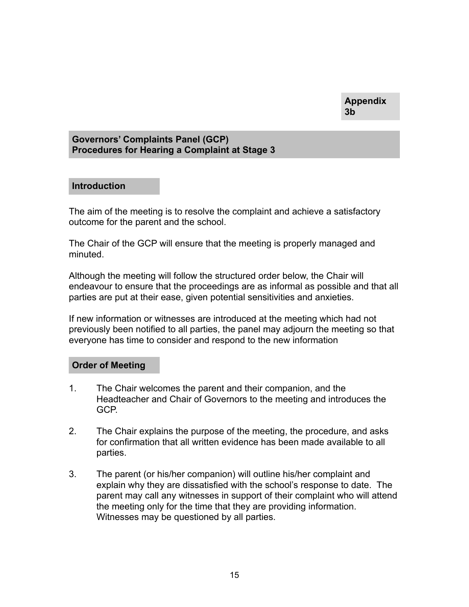#### **Governors' Complaints Panel (GCP) Procedures for Hearing a Complaint at Stage 3**

#### **Introduction**

The aim of the meeting is to resolve the complaint and achieve a satisfactory outcome for the parent and the school.

The Chair of the GCP will ensure that the meeting is properly managed and minuted.

Although the meeting will follow the structured order below, the Chair will endeavour to ensure that the proceedings are as informal as possible and that all parties are put at their ease, given potential sensitivities and anxieties.

If new information or witnesses are introduced at the meeting which had not previously been notified to all parties, the panel may adjourn the meeting so that everyone has time to consider and respond to the new information

## **Order of Meeting**

- 1. The Chair welcomes the parent and their companion, and the Headteacher and Chair of Governors to the meeting and introduces the GCP.
- 2. The Chair explains the purpose of the meeting, the procedure, and asks for confirmation that all written evidence has been made available to all parties.
- 3. The parent (or his/her companion) will outline his/her complaint and explain why they are dissatisfied with the school's response to date. The parent may call any witnesses in support of their complaint who will attend the meeting only for the time that they are providing information. Witnesses may be questioned by all parties.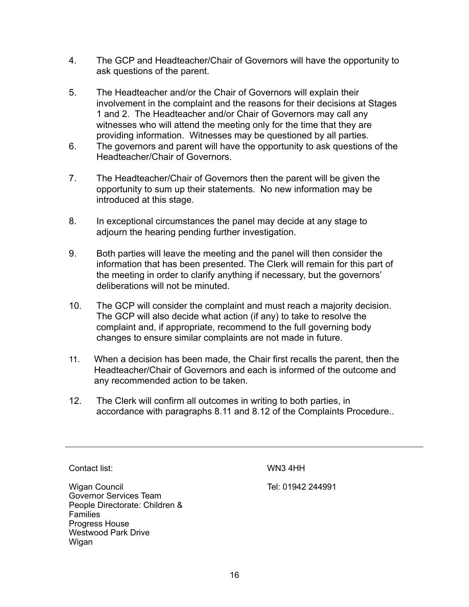- 4. The GCP and Headteacher/Chair of Governors will have the opportunity to ask questions of the parent.
- 5. The Headteacher and/or the Chair of Governors will explain their involvement in the complaint and the reasons for their decisions at Stages 1 and 2. The Headteacher and/or Chair of Governors may call any witnesses who will attend the meeting only for the time that they are providing information. Witnesses may be questioned by all parties.
- 6. The governors and parent will have the opportunity to ask questions of the Headteacher/Chair of Governors.
- 7. The Headteacher/Chair of Governors then the parent will be given the opportunity to sum up their statements. No new information may be introduced at this stage.
- 8. In exceptional circumstances the panel may decide at any stage to adjourn the hearing pending further investigation.
- 9. Both parties will leave the meeting and the panel will then consider the information that has been presented. The Clerk will remain for this part of the meeting in order to clarify anything if necessary, but the governors' deliberations will not be minuted.
- 10. The GCP will consider the complaint and must reach a majority decision. The GCP will also decide what action (if any) to take to resolve the complaint and, if appropriate, recommend to the full governing body changes to ensure similar complaints are not made in future.
- 11. When a decision has been made, the Chair first recalls the parent, then the Headteacher/Chair of Governors and each is informed of the outcome and any recommended action to be taken.
- 12. The Clerk will confirm all outcomes in writing to both parties, in accordance with paragraphs 8.11 and 8.12 of the Complaints Procedure..

Contact list:

WN3 4HH

Wigan Council Governor Services Team People Directorate: Children & **Families** Progress House Westwood Park Drive Wigan

Tel: 01942 244991